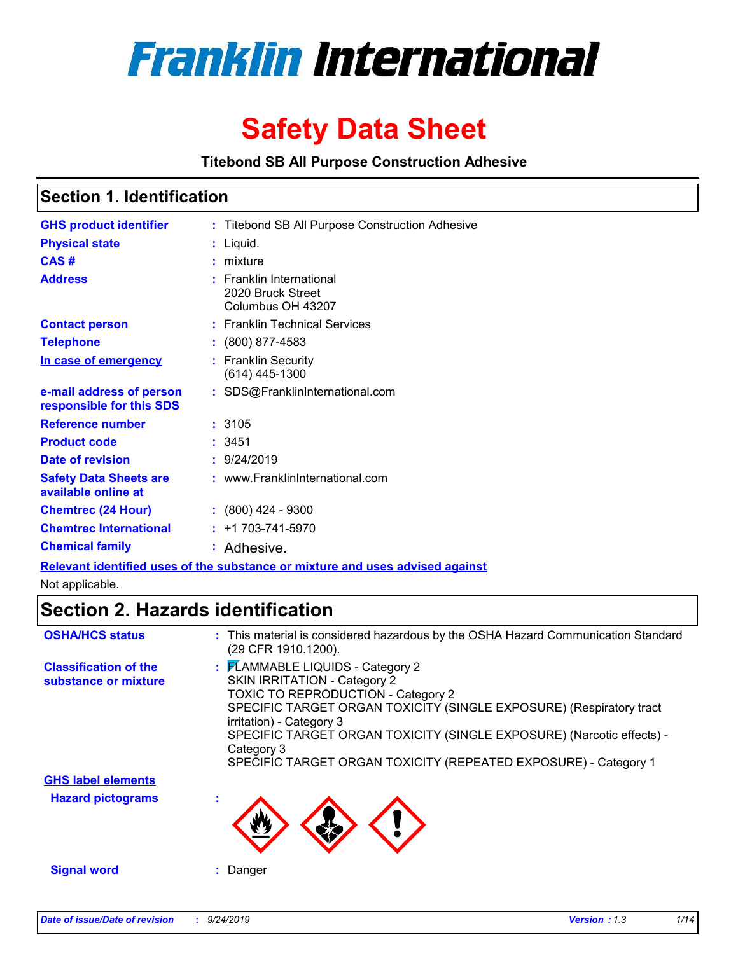

# **Safety Data Sheet**

**Titebond SB All Purpose Construction Adhesive**

## **Section 1. Identification**

| <b>GHS product identifier</b>                        | : Titebond SB All Purpose Construction Adhesive                               |
|------------------------------------------------------|-------------------------------------------------------------------------------|
| <b>Physical state</b>                                | : Liquid.                                                                     |
| CAS#                                                 | $:$ mixture                                                                   |
| <b>Address</b>                                       | : Franklin International<br>2020 Bruck Street<br>Columbus OH 43207            |
| <b>Contact person</b>                                | : Franklin Technical Services                                                 |
| <b>Telephone</b>                                     | $: (800) 877 - 4583$                                                          |
| In case of emergency                                 | : Franklin Security<br>$(614)$ 445-1300                                       |
| e-mail address of person<br>responsible for this SDS | : SDS@FranklinInternational.com                                               |
| <b>Reference number</b>                              | : 3105                                                                        |
| <b>Product code</b>                                  | : 3451                                                                        |
| <b>Date of revision</b>                              | : 9/24/2019                                                                   |
| <b>Safety Data Sheets are</b><br>available online at | : www.FranklinInternational.com                                               |
| <b>Chemtrec (24 Hour)</b>                            | $: (800)$ 424 - 9300                                                          |
| <b>Chemtrec International</b>                        | $: +1703 - 741 - 5970$                                                        |
| <b>Chemical family</b>                               | : Adhesive.                                                                   |
|                                                      | Relevant identified uses of the substance or mixture and uses advised against |

Not applicable.

## **Section 2. Hazards identification**

| <b>OSHA/HCS status</b>                               | : This material is considered hazardous by the OSHA Hazard Communication Standard<br>(29 CFR 1910.1200).                                                                                                                                                                                                                                                                   |
|------------------------------------------------------|----------------------------------------------------------------------------------------------------------------------------------------------------------------------------------------------------------------------------------------------------------------------------------------------------------------------------------------------------------------------------|
| <b>Classification of the</b><br>substance or mixture | : FLAMMABLE LIQUIDS - Category 2<br><b>SKIN IRRITATION - Category 2</b><br>TOXIC TO REPRODUCTION - Category 2<br>SPECIFIC TARGET ORGAN TOXICITY (SINGLE EXPOSURE) (Respiratory tract<br>irritation) - Category 3<br>SPECIFIC TARGET ORGAN TOXICITY (SINGLE EXPOSURE) (Narcotic effects) -<br>Category 3<br>SPECIFIC TARGET ORGAN TOXICITY (REPEATED EXPOSURE) - Category 1 |
| <b>GHS label elements</b>                            |                                                                                                                                                                                                                                                                                                                                                                            |
| <b>Hazard pictograms</b>                             |                                                                                                                                                                                                                                                                                                                                                                            |
| <b>Signal word</b>                                   | Danger                                                                                                                                                                                                                                                                                                                                                                     |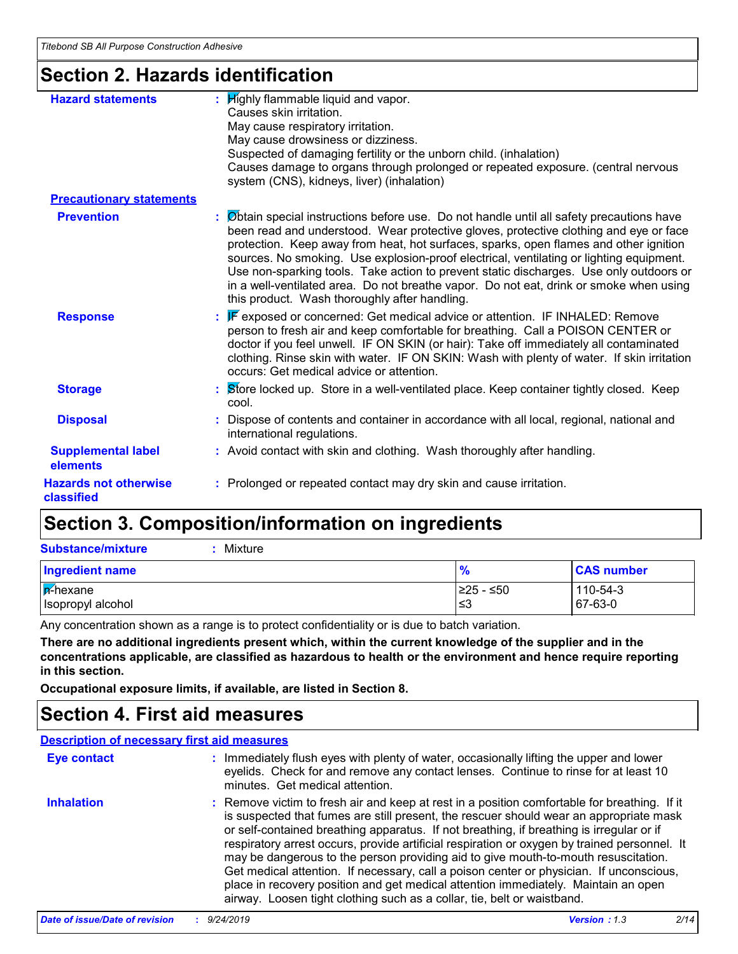## **Section 2. Hazards identification**

| <b>Hazard statements</b>                   | : $H$ ighly flammable liquid and vapor.<br>Causes skin irritation.<br>May cause respiratory irritation.<br>May cause drowsiness or dizziness.<br>Suspected of damaging fertility or the unborn child. (inhalation)<br>Causes damage to organs through prolonged or repeated exposure. (central nervous<br>system (CNS), kidneys, liver) (inhalation)                                                                                                                                                                                                                                                        |
|--------------------------------------------|-------------------------------------------------------------------------------------------------------------------------------------------------------------------------------------------------------------------------------------------------------------------------------------------------------------------------------------------------------------------------------------------------------------------------------------------------------------------------------------------------------------------------------------------------------------------------------------------------------------|
| <b>Precautionary statements</b>            |                                                                                                                                                                                                                                                                                                                                                                                                                                                                                                                                                                                                             |
| <b>Prevention</b>                          | : Øbtain special instructions before use. Do not handle until all safety precautions have<br>been read and understood. Wear protective gloves, protective clothing and eye or face<br>protection. Keep away from heat, hot surfaces, sparks, open flames and other ignition<br>sources. No smoking. Use explosion-proof electrical, ventilating or lighting equipment.<br>Use non-sparking tools. Take action to prevent static discharges. Use only outdoors or<br>in a well-ventilated area. Do not breathe vapor. Do not eat, drink or smoke when using<br>this product. Wash thoroughly after handling. |
| <b>Response</b>                            | : F exposed or concerned: Get medical advice or attention. IF INHALED: Remove<br>person to fresh air and keep comfortable for breathing. Call a POISON CENTER or<br>doctor if you feel unwell. IF ON SKIN (or hair): Take off immediately all contaminated<br>clothing. Rinse skin with water. IF ON SKIN: Wash with plenty of water. If skin irritation<br>occurs: Get medical advice or attention.                                                                                                                                                                                                        |
| <b>Storage</b>                             | <b>Store locked up. Store in a well-ventilated place. Keep container tightly closed. Keep</b><br>cool.                                                                                                                                                                                                                                                                                                                                                                                                                                                                                                      |
| <b>Disposal</b>                            | : Dispose of contents and container in accordance with all local, regional, national and<br>international regulations.                                                                                                                                                                                                                                                                                                                                                                                                                                                                                      |
| <b>Supplemental label</b><br>elements      | : Avoid contact with skin and clothing. Wash thoroughly after handling.                                                                                                                                                                                                                                                                                                                                                                                                                                                                                                                                     |
| <b>Hazards not otherwise</b><br>classified | : Prolonged or repeated contact may dry skin and cause irritation.                                                                                                                                                                                                                                                                                                                                                                                                                                                                                                                                          |

## **Section 3. Composition/information on ingredients**

| Substance/mixture |
|-------------------|
|-------------------|

**:** Mixture

| <b>Ingredient name</b> | $\frac{9}{6}$ | <b>CAS number</b> |
|------------------------|---------------|-------------------|
| <b>F</b> -hexane       | $≥25 - ≤50$   | 110-54-3          |
| Isopropyl alcohol      | ՝≤3           | 67-63-0           |

Any concentration shown as a range is to protect confidentiality or is due to batch variation.

**There are no additional ingredients present which, within the current knowledge of the supplier and in the concentrations applicable, are classified as hazardous to health or the environment and hence require reporting in this section.**

**Occupational exposure limits, if available, are listed in Section 8.**

## **Section 4. First aid measures**

#### **Description of necessary first aid measures**

| <b>Eye contact</b> | : Immediately flush eyes with plenty of water, occasionally lifting the upper and lower<br>eyelids. Check for and remove any contact lenses. Continue to rinse for at least 10<br>minutes. Get medical attention.                                                                                                                                                                                                                                                                                                                                                                                                                                                                                                                    |
|--------------------|--------------------------------------------------------------------------------------------------------------------------------------------------------------------------------------------------------------------------------------------------------------------------------------------------------------------------------------------------------------------------------------------------------------------------------------------------------------------------------------------------------------------------------------------------------------------------------------------------------------------------------------------------------------------------------------------------------------------------------------|
| <b>Inhalation</b>  | : Remove victim to fresh air and keep at rest in a position comfortable for breathing. If it<br>is suspected that fumes are still present, the rescuer should wear an appropriate mask<br>or self-contained breathing apparatus. If not breathing, if breathing is irregular or if<br>respiratory arrest occurs, provide artificial respiration or oxygen by trained personnel. It<br>may be dangerous to the person providing aid to give mouth-to-mouth resuscitation.<br>Get medical attention. If necessary, call a poison center or physician. If unconscious,<br>place in recovery position and get medical attention immediately. Maintain an open<br>airway. Loosen tight clothing such as a collar, tie, belt or waistband. |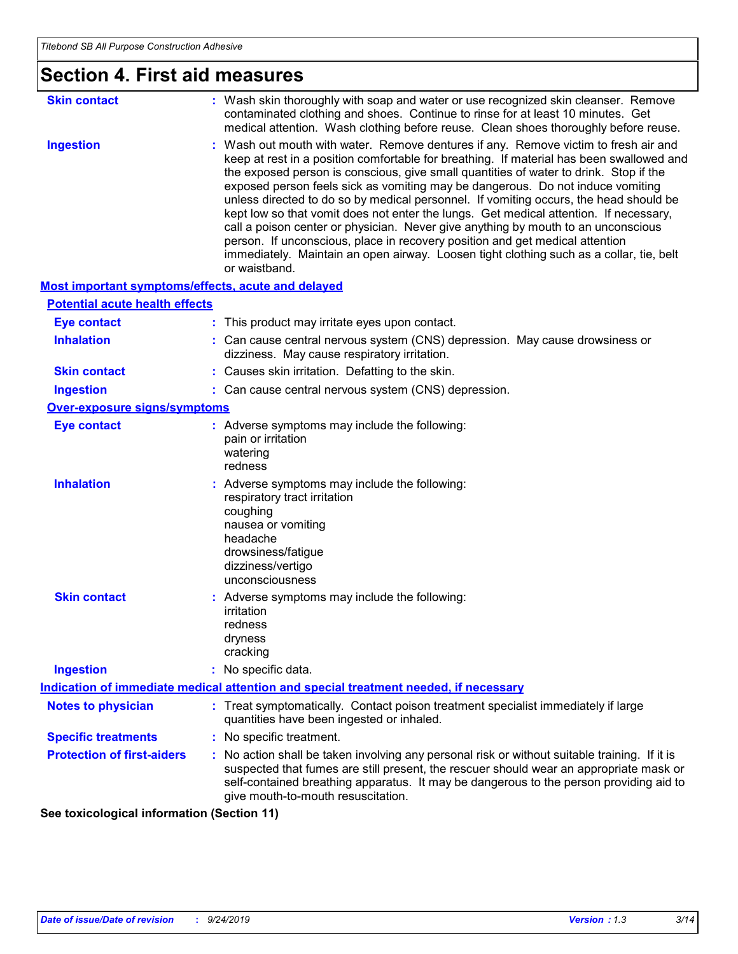| <b>Section 4. First aid measures</b>               |                                                                                                                                                                                                                                                                                                                                                                                                                                                                                                                                                                                                                                                                                                                                                                                                                               |
|----------------------------------------------------|-------------------------------------------------------------------------------------------------------------------------------------------------------------------------------------------------------------------------------------------------------------------------------------------------------------------------------------------------------------------------------------------------------------------------------------------------------------------------------------------------------------------------------------------------------------------------------------------------------------------------------------------------------------------------------------------------------------------------------------------------------------------------------------------------------------------------------|
| <b>Skin contact</b>                                | : Wash skin thoroughly with soap and water or use recognized skin cleanser. Remove<br>contaminated clothing and shoes. Continue to rinse for at least 10 minutes. Get<br>medical attention. Wash clothing before reuse. Clean shoes thoroughly before reuse.                                                                                                                                                                                                                                                                                                                                                                                                                                                                                                                                                                  |
| <b>Ingestion</b>                                   | : Wash out mouth with water. Remove dentures if any. Remove victim to fresh air and<br>keep at rest in a position comfortable for breathing. If material has been swallowed and<br>the exposed person is conscious, give small quantities of water to drink. Stop if the<br>exposed person feels sick as vomiting may be dangerous. Do not induce vomiting<br>unless directed to do so by medical personnel. If vomiting occurs, the head should be<br>kept low so that vomit does not enter the lungs. Get medical attention. If necessary,<br>call a poison center or physician. Never give anything by mouth to an unconscious<br>person. If unconscious, place in recovery position and get medical attention<br>immediately. Maintain an open airway. Loosen tight clothing such as a collar, tie, belt<br>or waistband. |
| Most important symptoms/effects, acute and delayed |                                                                                                                                                                                                                                                                                                                                                                                                                                                                                                                                                                                                                                                                                                                                                                                                                               |
| <b>Potential acute health effects</b>              |                                                                                                                                                                                                                                                                                                                                                                                                                                                                                                                                                                                                                                                                                                                                                                                                                               |
| <b>Eye contact</b>                                 | : This product may irritate eyes upon contact.                                                                                                                                                                                                                                                                                                                                                                                                                                                                                                                                                                                                                                                                                                                                                                                |
| <b>Inhalation</b>                                  | : Can cause central nervous system (CNS) depression. May cause drowsiness or<br>dizziness. May cause respiratory irritation.                                                                                                                                                                                                                                                                                                                                                                                                                                                                                                                                                                                                                                                                                                  |
| <b>Skin contact</b>                                | : Causes skin irritation. Defatting to the skin.                                                                                                                                                                                                                                                                                                                                                                                                                                                                                                                                                                                                                                                                                                                                                                              |
| <b>Ingestion</b>                                   | : Can cause central nervous system (CNS) depression.                                                                                                                                                                                                                                                                                                                                                                                                                                                                                                                                                                                                                                                                                                                                                                          |
| <b>Over-exposure signs/symptoms</b>                |                                                                                                                                                                                                                                                                                                                                                                                                                                                                                                                                                                                                                                                                                                                                                                                                                               |
| <b>Eye contact</b>                                 | : Adverse symptoms may include the following:<br>pain or irritation<br>watering<br>redness                                                                                                                                                                                                                                                                                                                                                                                                                                                                                                                                                                                                                                                                                                                                    |
| <b>Inhalation</b>                                  | : Adverse symptoms may include the following:<br>respiratory tract irritation<br>coughing<br>nausea or vomiting<br>headache<br>drowsiness/fatigue<br>dizziness/vertigo<br>unconsciousness                                                                                                                                                                                                                                                                                                                                                                                                                                                                                                                                                                                                                                     |
| <b>Skin contact</b>                                | : Adverse symptoms may include the following:<br>irritation<br>redness<br>dryness<br>cracking                                                                                                                                                                                                                                                                                                                                                                                                                                                                                                                                                                                                                                                                                                                                 |
| <b>Ingestion</b>                                   | : No specific data.                                                                                                                                                                                                                                                                                                                                                                                                                                                                                                                                                                                                                                                                                                                                                                                                           |
|                                                    | Indication of immediate medical attention and special treatment needed, if necessary                                                                                                                                                                                                                                                                                                                                                                                                                                                                                                                                                                                                                                                                                                                                          |
| <b>Notes to physician</b>                          | : Treat symptomatically. Contact poison treatment specialist immediately if large<br>quantities have been ingested or inhaled.                                                                                                                                                                                                                                                                                                                                                                                                                                                                                                                                                                                                                                                                                                |
| <b>Specific treatments</b>                         | : No specific treatment.                                                                                                                                                                                                                                                                                                                                                                                                                                                                                                                                                                                                                                                                                                                                                                                                      |
| <b>Protection of first-aiders</b>                  | : No action shall be taken involving any personal risk or without suitable training. If it is<br>suspected that fumes are still present, the rescuer should wear an appropriate mask or<br>self-contained breathing apparatus. It may be dangerous to the person providing aid to<br>give mouth-to-mouth resuscitation.                                                                                                                                                                                                                                                                                                                                                                                                                                                                                                       |

**See toxicological information (Section 11)**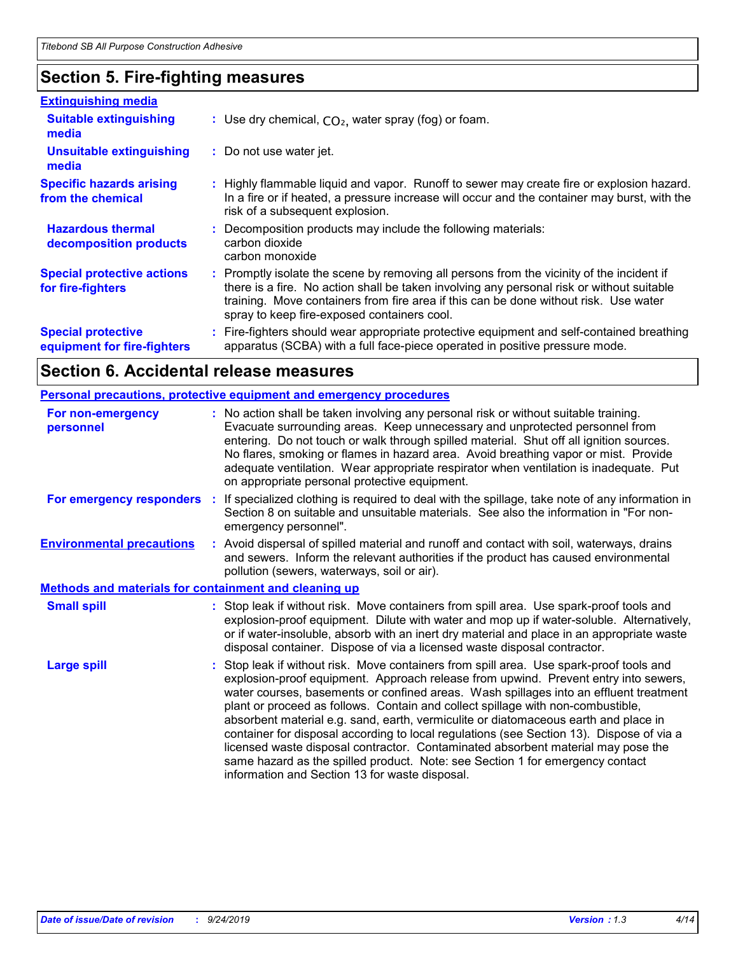## **Section 5. Fire-fighting measures**

| <b>Extinguishing media</b>                               |                                                                                                                                                                                                                                                                                                                               |  |
|----------------------------------------------------------|-------------------------------------------------------------------------------------------------------------------------------------------------------------------------------------------------------------------------------------------------------------------------------------------------------------------------------|--|
| <b>Suitable extinguishing</b><br>media                   | : Use dry chemical, $CO2$ , water spray (fog) or foam.                                                                                                                                                                                                                                                                        |  |
| <b>Unsuitable extinguishing</b><br>media                 | : Do not use water jet.                                                                                                                                                                                                                                                                                                       |  |
| <b>Specific hazards arising</b><br>from the chemical     | : Highly flammable liquid and vapor. Runoff to sewer may create fire or explosion hazard.<br>In a fire or if heated, a pressure increase will occur and the container may burst, with the<br>risk of a subsequent explosion.                                                                                                  |  |
| <b>Hazardous thermal</b><br>decomposition products       | : Decomposition products may include the following materials:<br>carbon dioxide<br>carbon monoxide                                                                                                                                                                                                                            |  |
| <b>Special protective actions</b><br>for fire-fighters   | : Promptly isolate the scene by removing all persons from the vicinity of the incident if<br>there is a fire. No action shall be taken involving any personal risk or without suitable<br>training. Move containers from fire area if this can be done without risk. Use water<br>spray to keep fire-exposed containers cool. |  |
| <b>Special protective</b><br>equipment for fire-fighters | Fire-fighters should wear appropriate protective equipment and self-contained breathing<br>apparatus (SCBA) with a full face-piece operated in positive pressure mode.                                                                                                                                                        |  |

## **Section 6. Accidental release measures**

|                                                              | <b>Personal precautions, protective equipment and emergency procedures</b>                                                                                                                                                                                                                                                                                                                                                                                                                                                                                                                                                                                                                                                                                         |  |
|--------------------------------------------------------------|--------------------------------------------------------------------------------------------------------------------------------------------------------------------------------------------------------------------------------------------------------------------------------------------------------------------------------------------------------------------------------------------------------------------------------------------------------------------------------------------------------------------------------------------------------------------------------------------------------------------------------------------------------------------------------------------------------------------------------------------------------------------|--|
| For non-emergency<br>personnel                               | : No action shall be taken involving any personal risk or without suitable training.<br>Evacuate surrounding areas. Keep unnecessary and unprotected personnel from<br>entering. Do not touch or walk through spilled material. Shut off all ignition sources.<br>No flares, smoking or flames in hazard area. Avoid breathing vapor or mist. Provide<br>adequate ventilation. Wear appropriate respirator when ventilation is inadequate. Put<br>on appropriate personal protective equipment.                                                                                                                                                                                                                                                                    |  |
| For emergency responders                                     | If specialized clothing is required to deal with the spillage, take note of any information in<br>÷.<br>Section 8 on suitable and unsuitable materials. See also the information in "For non-<br>emergency personnel".                                                                                                                                                                                                                                                                                                                                                                                                                                                                                                                                             |  |
| <b>Environmental precautions</b>                             | : Avoid dispersal of spilled material and runoff and contact with soil, waterways, drains<br>and sewers. Inform the relevant authorities if the product has caused environmental<br>pollution (sewers, waterways, soil or air).                                                                                                                                                                                                                                                                                                                                                                                                                                                                                                                                    |  |
| <b>Methods and materials for containment and cleaning up</b> |                                                                                                                                                                                                                                                                                                                                                                                                                                                                                                                                                                                                                                                                                                                                                                    |  |
| <b>Small spill</b>                                           | : Stop leak if without risk. Move containers from spill area. Use spark-proof tools and<br>explosion-proof equipment. Dilute with water and mop up if water-soluble. Alternatively,<br>or if water-insoluble, absorb with an inert dry material and place in an appropriate waste<br>disposal container. Dispose of via a licensed waste disposal contractor.                                                                                                                                                                                                                                                                                                                                                                                                      |  |
| <b>Large spill</b>                                           | Stop leak if without risk. Move containers from spill area. Use spark-proof tools and<br>explosion-proof equipment. Approach release from upwind. Prevent entry into sewers,<br>water courses, basements or confined areas. Wash spillages into an effluent treatment<br>plant or proceed as follows. Contain and collect spillage with non-combustible,<br>absorbent material e.g. sand, earth, vermiculite or diatomaceous earth and place in<br>container for disposal according to local regulations (see Section 13). Dispose of via a<br>licensed waste disposal contractor. Contaminated absorbent material may pose the<br>same hazard as the spilled product. Note: see Section 1 for emergency contact<br>information and Section 13 for waste disposal. |  |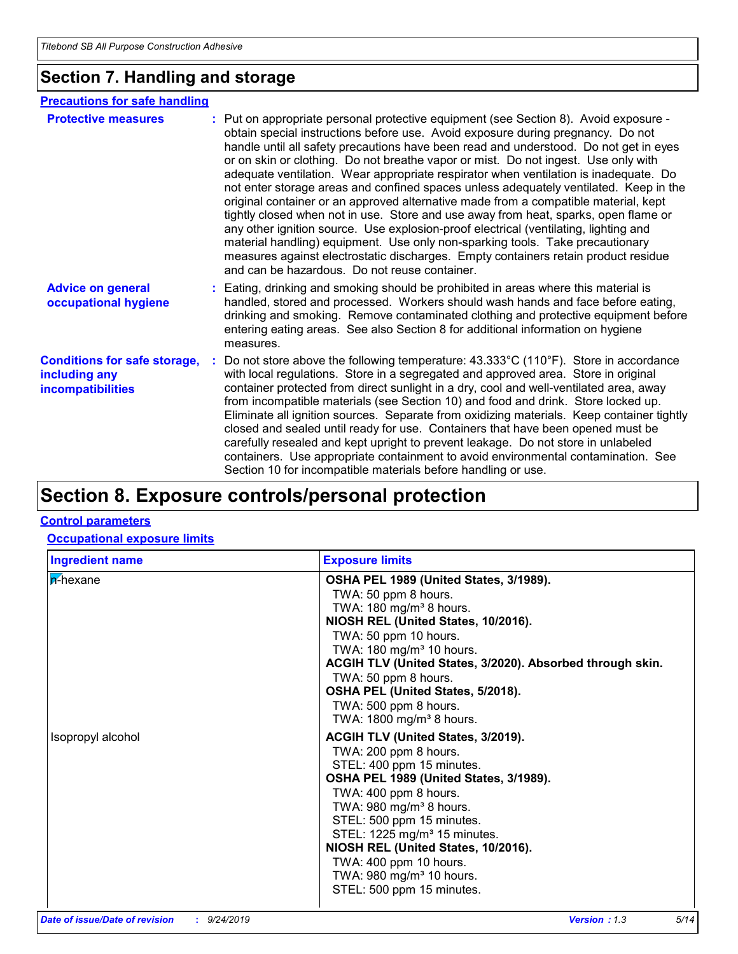## **Section 7. Handling and storage**

### **Precautions for safe handling**

| <b>Protective measures</b>                                                       | : Put on appropriate personal protective equipment (see Section 8). Avoid exposure -<br>obtain special instructions before use. Avoid exposure during pregnancy. Do not<br>handle until all safety precautions have been read and understood. Do not get in eyes<br>or on skin or clothing. Do not breathe vapor or mist. Do not ingest. Use only with<br>adequate ventilation. Wear appropriate respirator when ventilation is inadequate. Do<br>not enter storage areas and confined spaces unless adequately ventilated. Keep in the<br>original container or an approved alternative made from a compatible material, kept<br>tightly closed when not in use. Store and use away from heat, sparks, open flame or<br>any other ignition source. Use explosion-proof electrical (ventilating, lighting and<br>material handling) equipment. Use only non-sparking tools. Take precautionary<br>measures against electrostatic discharges. Empty containers retain product residue<br>and can be hazardous. Do not reuse container. |  |
|----------------------------------------------------------------------------------|---------------------------------------------------------------------------------------------------------------------------------------------------------------------------------------------------------------------------------------------------------------------------------------------------------------------------------------------------------------------------------------------------------------------------------------------------------------------------------------------------------------------------------------------------------------------------------------------------------------------------------------------------------------------------------------------------------------------------------------------------------------------------------------------------------------------------------------------------------------------------------------------------------------------------------------------------------------------------------------------------------------------------------------|--|
| <b>Advice on general</b><br>occupational hygiene                                 | : Eating, drinking and smoking should be prohibited in areas where this material is<br>handled, stored and processed. Workers should wash hands and face before eating,<br>drinking and smoking. Remove contaminated clothing and protective equipment before<br>entering eating areas. See also Section 8 for additional information on hygiene<br>measures.                                                                                                                                                                                                                                                                                                                                                                                                                                                                                                                                                                                                                                                                         |  |
| <b>Conditions for safe storage,</b><br>including any<br><b>incompatibilities</b> | : Do not store above the following temperature: $43.333^{\circ}$ C (110°F). Store in accordance<br>with local regulations. Store in a segregated and approved area. Store in original<br>container protected from direct sunlight in a dry, cool and well-ventilated area, away<br>from incompatible materials (see Section 10) and food and drink. Store locked up.<br>Eliminate all ignition sources. Separate from oxidizing materials. Keep container tightly<br>closed and sealed until ready for use. Containers that have been opened must be<br>carefully resealed and kept upright to prevent leakage. Do not store in unlabeled<br>containers. Use appropriate containment to avoid environmental contamination. See<br>Section 10 for incompatible materials before handling or use.                                                                                                                                                                                                                                       |  |

## **Section 8. Exposure controls/personal protection**

#### **Control parameters**

#### **Occupational exposure limits**

| <b>Ingredient name</b> | <b>Exposure limits</b>                                                                                                                                                                                                                                                                                                                                                                                                   |
|------------------------|--------------------------------------------------------------------------------------------------------------------------------------------------------------------------------------------------------------------------------------------------------------------------------------------------------------------------------------------------------------------------------------------------------------------------|
| <b>n</b> -hexane       | OSHA PEL 1989 (United States, 3/1989).<br>TWA: 50 ppm 8 hours.<br>TWA: $180 \text{ mg/m}^3$ 8 hours.<br>NIOSH REL (United States, 10/2016).<br>TWA: 50 ppm 10 hours.<br>TWA: 180 mg/m <sup>3</sup> 10 hours.<br>ACGIH TLV (United States, 3/2020). Absorbed through skin.<br>TWA: 50 ppm 8 hours.<br>OSHA PEL (United States, 5/2018).<br>TWA: 500 ppm 8 hours.<br>TWA: 1800 mg/m <sup>3</sup> 8 hours.                  |
| Isopropyl alcohol      | <b>ACGIH TLV (United States, 3/2019).</b><br>TWA: 200 ppm 8 hours.<br>STEL: 400 ppm 15 minutes.<br>OSHA PEL 1989 (United States, 3/1989).<br>TWA: 400 ppm 8 hours.<br>TWA: 980 mg/m <sup>3</sup> 8 hours.<br>STEL: 500 ppm 15 minutes.<br>STEL: 1225 mg/m <sup>3</sup> 15 minutes.<br>NIOSH REL (United States, 10/2016).<br>TWA: 400 ppm 10 hours.<br>TWA: 980 mg/m <sup>3</sup> 10 hours.<br>STEL: 500 ppm 15 minutes. |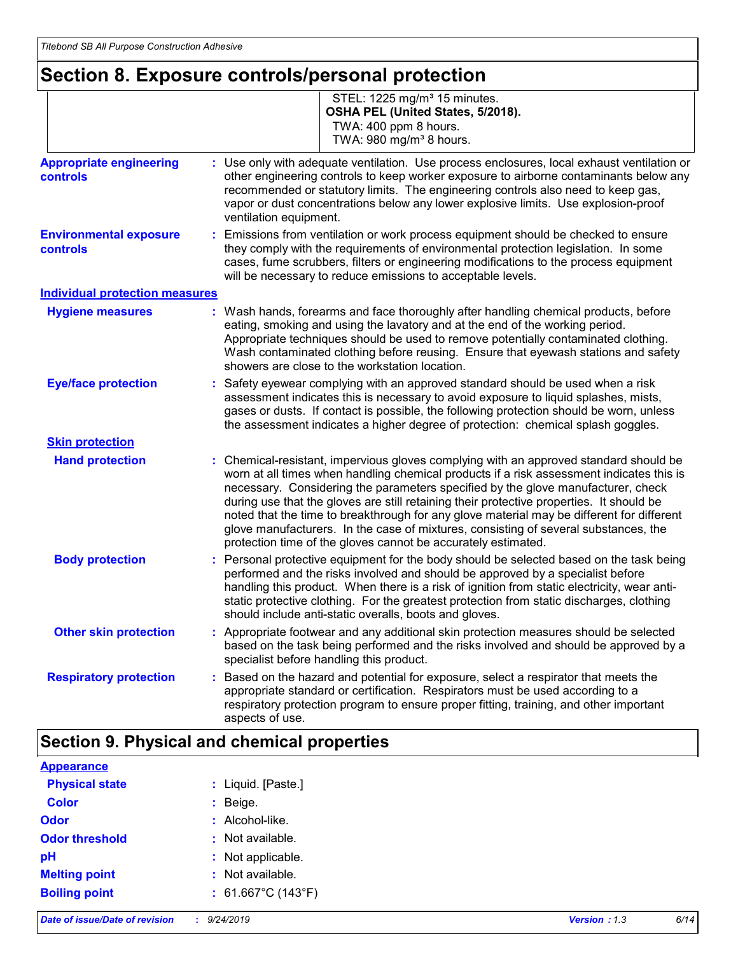## **Section 8. Exposure controls/personal protection**

|                                                   | STEL: 1225 mg/m <sup>3</sup> 15 minutes.<br>OSHA PEL (United States, 5/2018).<br>TWA: 400 ppm 8 hours.<br>TWA: 980 mg/m <sup>3</sup> 8 hours.                                                                                                                                                                                                                                                                                                                                                                                                                                                                        |
|---------------------------------------------------|----------------------------------------------------------------------------------------------------------------------------------------------------------------------------------------------------------------------------------------------------------------------------------------------------------------------------------------------------------------------------------------------------------------------------------------------------------------------------------------------------------------------------------------------------------------------------------------------------------------------|
| <b>Appropriate engineering</b><br><b>controls</b> | : Use only with adequate ventilation. Use process enclosures, local exhaust ventilation or<br>other engineering controls to keep worker exposure to airborne contaminants below any<br>recommended or statutory limits. The engineering controls also need to keep gas,<br>vapor or dust concentrations below any lower explosive limits. Use explosion-proof<br>ventilation equipment.                                                                                                                                                                                                                              |
| <b>Environmental exposure</b><br><b>controls</b>  | Emissions from ventilation or work process equipment should be checked to ensure<br>they comply with the requirements of environmental protection legislation. In some<br>cases, fume scrubbers, filters or engineering modifications to the process equipment<br>will be necessary to reduce emissions to acceptable levels.                                                                                                                                                                                                                                                                                        |
| <b>Individual protection measures</b>             |                                                                                                                                                                                                                                                                                                                                                                                                                                                                                                                                                                                                                      |
| <b>Hygiene measures</b>                           | : Wash hands, forearms and face thoroughly after handling chemical products, before<br>eating, smoking and using the lavatory and at the end of the working period.<br>Appropriate techniques should be used to remove potentially contaminated clothing.<br>Wash contaminated clothing before reusing. Ensure that eyewash stations and safety<br>showers are close to the workstation location.                                                                                                                                                                                                                    |
| <b>Eye/face protection</b>                        | : Safety eyewear complying with an approved standard should be used when a risk<br>assessment indicates this is necessary to avoid exposure to liquid splashes, mists,<br>gases or dusts. If contact is possible, the following protection should be worn, unless<br>the assessment indicates a higher degree of protection: chemical splash goggles.                                                                                                                                                                                                                                                                |
| <b>Skin protection</b>                            |                                                                                                                                                                                                                                                                                                                                                                                                                                                                                                                                                                                                                      |
| <b>Hand protection</b>                            | Chemical-resistant, impervious gloves complying with an approved standard should be<br>worn at all times when handling chemical products if a risk assessment indicates this is<br>necessary. Considering the parameters specified by the glove manufacturer, check<br>during use that the gloves are still retaining their protective properties. It should be<br>noted that the time to breakthrough for any glove material may be different for different<br>glove manufacturers. In the case of mixtures, consisting of several substances, the<br>protection time of the gloves cannot be accurately estimated. |
| <b>Body protection</b>                            | Personal protective equipment for the body should be selected based on the task being<br>performed and the risks involved and should be approved by a specialist before<br>handling this product. When there is a risk of ignition from static electricity, wear anti-<br>static protective clothing. For the greatest protection from static discharges, clothing<br>should include anti-static overalls, boots and gloves.                                                                                                                                                                                         |
| <b>Other skin protection</b>                      | : Appropriate footwear and any additional skin protection measures should be selected<br>based on the task being performed and the risks involved and should be approved by a<br>specialist before handling this product.                                                                                                                                                                                                                                                                                                                                                                                            |
| <b>Respiratory protection</b>                     | : Based on the hazard and potential for exposure, select a respirator that meets the<br>appropriate standard or certification. Respirators must be used according to a<br>respiratory protection program to ensure proper fitting, training, and other important<br>aspects of use.                                                                                                                                                                                                                                                                                                                                  |

## **Section 9. Physical and chemical properties**

| <b>Appearance</b>     |                              |
|-----------------------|------------------------------|
| <b>Physical state</b> | : Liquid. [Paste.]           |
| <b>Color</b>          | $:$ Beige.                   |
| <b>Odor</b>           | : Alcohol-like.              |
| <b>Odor threshold</b> | : Not available.             |
| pH                    | : Not applicable.            |
| <b>Melting point</b>  | : Not available.             |
| <b>Boiling point</b>  | : $61.667^{\circ}$ C (143°F) |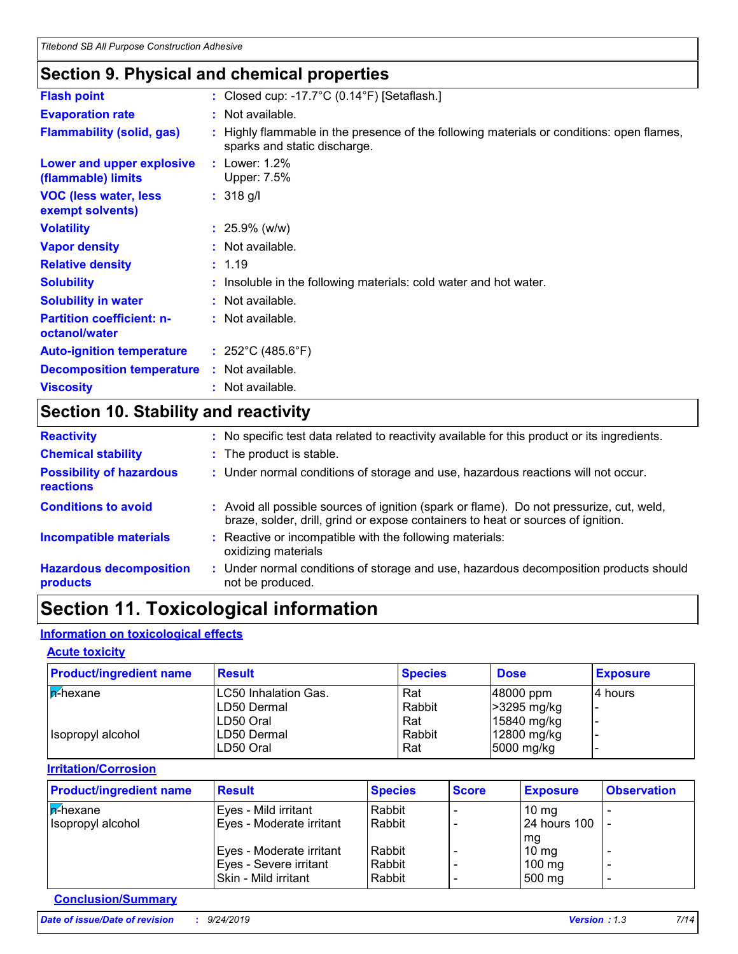### **Section 9. Physical and chemical properties**

| <b>Flash point</b>                                | : Closed cup: -17.7 $\degree$ C (0.14 $\degree$ F) [Setaflash.]                                                           |
|---------------------------------------------------|---------------------------------------------------------------------------------------------------------------------------|
| <b>Evaporation rate</b>                           | : Not available.                                                                                                          |
| <b>Flammability (solid, gas)</b>                  | : Highly flammable in the presence of the following materials or conditions: open flames,<br>sparks and static discharge. |
| Lower and upper explosive<br>(flammable) limits   | : Lower: $1.2\%$<br>Upper: 7.5%                                                                                           |
| <b>VOC (less water, less)</b><br>exempt solvents) | $: 318$ g/l                                                                                                               |
| <b>Volatility</b>                                 | $: 25.9\%$ (w/w)                                                                                                          |
| <b>Vapor density</b>                              | : Not available.                                                                                                          |
| <b>Relative density</b>                           | : 1.19                                                                                                                    |
| <b>Solubility</b>                                 | : Insoluble in the following materials: cold water and hot water.                                                         |
| <b>Solubility in water</b>                        | : Not available.                                                                                                          |
| <b>Partition coefficient: n-</b><br>octanol/water | : Not available.                                                                                                          |
| <b>Auto-ignition temperature</b>                  | : $252^{\circ}$ C (485.6 $^{\circ}$ F)                                                                                    |
| <b>Decomposition temperature</b>                  | : Not available.                                                                                                          |
| <b>Viscosity</b>                                  | : Not available.                                                                                                          |
|                                                   |                                                                                                                           |

## **Section 10. Stability and reactivity**

| <b>Reactivity</b>                                   | : No specific test data related to reactivity available for this product or its ingredients.                                                                                 |
|-----------------------------------------------------|------------------------------------------------------------------------------------------------------------------------------------------------------------------------------|
| <b>Chemical stability</b>                           | : The product is stable.                                                                                                                                                     |
| <b>Possibility of hazardous</b><br><b>reactions</b> | : Under normal conditions of storage and use, hazardous reactions will not occur.                                                                                            |
| <b>Conditions to avoid</b>                          | : Avoid all possible sources of ignition (spark or flame). Do not pressurize, cut, weld,<br>braze, solder, drill, grind or expose containers to heat or sources of ignition. |
| <b>Incompatible materials</b>                       | Reactive or incompatible with the following materials:<br>oxidizing materials                                                                                                |
| <b>Hazardous decomposition</b><br>products          | : Under normal conditions of storage and use, hazardous decomposition products should<br>not be produced.                                                                    |

## **Section 11. Toxicological information**

#### **Information on toxicological effects**

#### **Acute toxicity**

| <b>Product/ingredient name</b> | <b>Result</b>               | <b>Species</b> | <b>Dose</b>   | <b>Exposure</b> |
|--------------------------------|-----------------------------|----------------|---------------|-----------------|
| <b>A</b> -hexane               | <b>LC50 Inhalation Gas.</b> | Rat            | $ 48000$ ppm  | 14 hours        |
|                                | ILD50 Dermal                | Rabbit         | $>3295$ mg/kg |                 |
|                                | ILD50 Oral                  | Rat            | $15840$ mg/kg |                 |
| Isopropyl alcohol              | LD50 Dermal                 | Rabbit         | $12800$ mg/kg |                 |
|                                | LD50 Oral                   | Rat            | 5000 mg/kg    |                 |

**Irritation/Corrosion**

| <b>Product/ingredient name</b> | <b>Result</b>            | <b>Species</b> | <b>Score</b> | <b>Exposure</b>  | <b>Observation</b> |
|--------------------------------|--------------------------|----------------|--------------|------------------|--------------------|
| <b>A-hexane</b>                | Eyes - Mild irritant     | Rabbit         |              | $10 \text{ mg}$  |                    |
| Isopropyl alcohol              | Eyes - Moderate irritant | Rabbit         |              | 24 hours 100     |                    |
|                                |                          |                |              | mg               |                    |
|                                | Eyes - Moderate irritant | Rabbit         |              | $10 \text{ mg}$  |                    |
|                                | Eyes - Severe irritant   | Rabbit         |              | $100 \text{ mg}$ |                    |
|                                | Skin - Mild irritant     | Rabbit         |              | 500 mg           | -                  |

#### **Conclusion/Summary**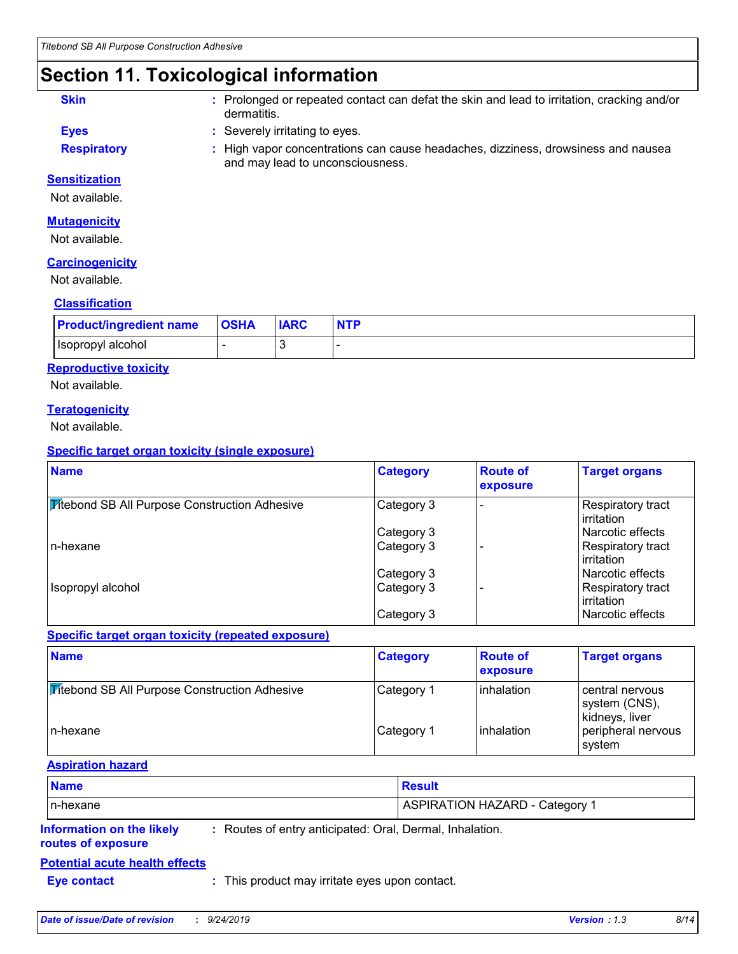## **Section 11. Toxicological information**

- **Skin :** Prolonged or repeated contact can defat the skin and lead to irritation, cracking and/or dermatitis.
- **Eyes :** Severely irritating to eyes.
- 
- **Respiratory <b>:** High vapor concentrations can cause headaches, dizziness, drowsiness and nausea and may lead to unconsciousness.

### **Sensitization**

Not available.

#### **Mutagenicity**

Not available.

#### **Carcinogenicity**

Not available.

#### **Classification**

| <b>Product/ingredient name</b> | <b>OSHA</b> | <b>IARC</b> | <b>NTP</b> |
|--------------------------------|-------------|-------------|------------|
| Isopropyl alcohol              |             |             |            |

#### **Reproductive toxicity**

Not available.

#### **Teratogenicity**

Not available.

#### **Specific target organ toxicity (single exposure)**

| <b>Name</b>                                          | <b>Category</b> | <b>Route of</b><br>exposure | <b>Target organs</b>                           |
|------------------------------------------------------|-----------------|-----------------------------|------------------------------------------------|
| <b>Mitebond SB All Purpose Construction Adhesive</b> | Category 3      |                             | Respiratory tract<br>l irritation              |
|                                                      | Category 3      |                             | Narcotic effects                               |
| In-hexane                                            | Category 3      |                             | <b>Respiratory tract</b><br>l irritation       |
|                                                      | Category 3      |                             | l Narcotic effects                             |
| Isopropyl alcohol                                    | Category 3      |                             | <b>Respiratory tract</b><br><b>lirritation</b> |
|                                                      | Category 3      |                             | l Narcotic effects                             |

#### **Specific target organ toxicity (repeated exposure)**

| <b>Name</b>                                          | <b>Category</b> | <b>Route of</b><br>exposure | <b>Target organs</b>                               |
|------------------------------------------------------|-----------------|-----------------------------|----------------------------------------------------|
| <b>Titebond SB All Purpose Construction Adhesive</b> | Category 1      | <b>linhalation</b>          | central nervous<br>system (CNS),<br>kidneys, liver |
| In-hexane                                            | Category 1      | inhalation                  | peripheral nervous<br>system                       |

#### **Aspiration hazard**

| <b>Name</b>                      |                                                          | <b>Result</b>                         |
|----------------------------------|----------------------------------------------------------|---------------------------------------|
| In-hexane                        |                                                          | <b>ASPIRATION HAZARD - Category 1</b> |
| <b>Information on the likely</b> | : Routes of entry anticipated: Oral, Dermal, Inhalation. |                                       |

#### **routes of exposure**

#### **Potential acute health effects**

**Eye contact :** This product may irritate eyes upon contact.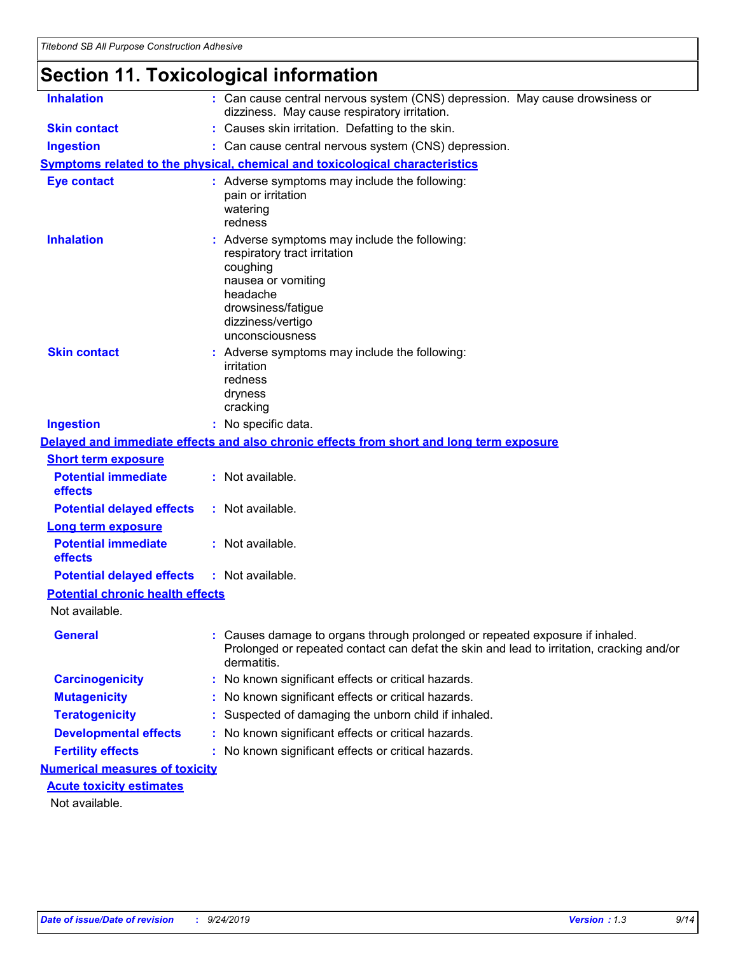## **Section 11. Toxicological information**

| <b>Inhalation</b>                       | : Can cause central nervous system (CNS) depression. May cause drowsiness or<br>dizziness. May cause respiratory irritation.                                                            |
|-----------------------------------------|-----------------------------------------------------------------------------------------------------------------------------------------------------------------------------------------|
| <b>Skin contact</b>                     | : Causes skin irritation. Defatting to the skin.                                                                                                                                        |
| <b>Ingestion</b>                        | : Can cause central nervous system (CNS) depression.                                                                                                                                    |
|                                         | Symptoms related to the physical, chemical and toxicological characteristics                                                                                                            |
| <b>Eye contact</b>                      | : Adverse symptoms may include the following:<br>pain or irritation<br>watering<br>redness                                                                                              |
| <b>Inhalation</b>                       | Adverse symptoms may include the following:<br>respiratory tract irritation<br>coughing<br>nausea or vomiting<br>headache<br>drowsiness/fatigue<br>dizziness/vertigo<br>unconsciousness |
| <b>Skin contact</b>                     | : Adverse symptoms may include the following:<br>irritation<br>redness<br>dryness<br>cracking                                                                                           |
| <b>Ingestion</b>                        | : No specific data.                                                                                                                                                                     |
|                                         | Delayed and immediate effects and also chronic effects from short and long term exposure                                                                                                |
| <b>Short term exposure</b>              |                                                                                                                                                                                         |
| <b>Potential immediate</b><br>effects   | : Not available.                                                                                                                                                                        |
| <b>Potential delayed effects</b>        | : Not available.                                                                                                                                                                        |
| <b>Long term exposure</b>               |                                                                                                                                                                                         |
| <b>Potential immediate</b><br>effects   | : Not available.                                                                                                                                                                        |
| <b>Potential delayed effects</b>        | : Not available.                                                                                                                                                                        |
| <b>Potential chronic health effects</b> |                                                                                                                                                                                         |
| Not available.                          |                                                                                                                                                                                         |
| <b>General</b>                          | Causes damage to organs through prolonged or repeated exposure if inhaled.<br>Prolonged or repeated contact can defat the skin and lead to irritation, cracking and/or<br>dermatitis.   |
| <b>Carcinogenicity</b>                  | No known significant effects or critical hazards.                                                                                                                                       |
| <b>Mutagenicity</b>                     | No known significant effects or critical hazards.                                                                                                                                       |
| <b>Teratogenicity</b>                   | Suspected of damaging the unborn child if inhaled.                                                                                                                                      |
| <b>Developmental effects</b>            | No known significant effects or critical hazards.                                                                                                                                       |
| <b>Fertility effects</b>                | : No known significant effects or critical hazards.                                                                                                                                     |
| <b>Numerical measures of toxicity</b>   |                                                                                                                                                                                         |
| <b>Acute toxicity estimates</b>         |                                                                                                                                                                                         |
| Not available.                          |                                                                                                                                                                                         |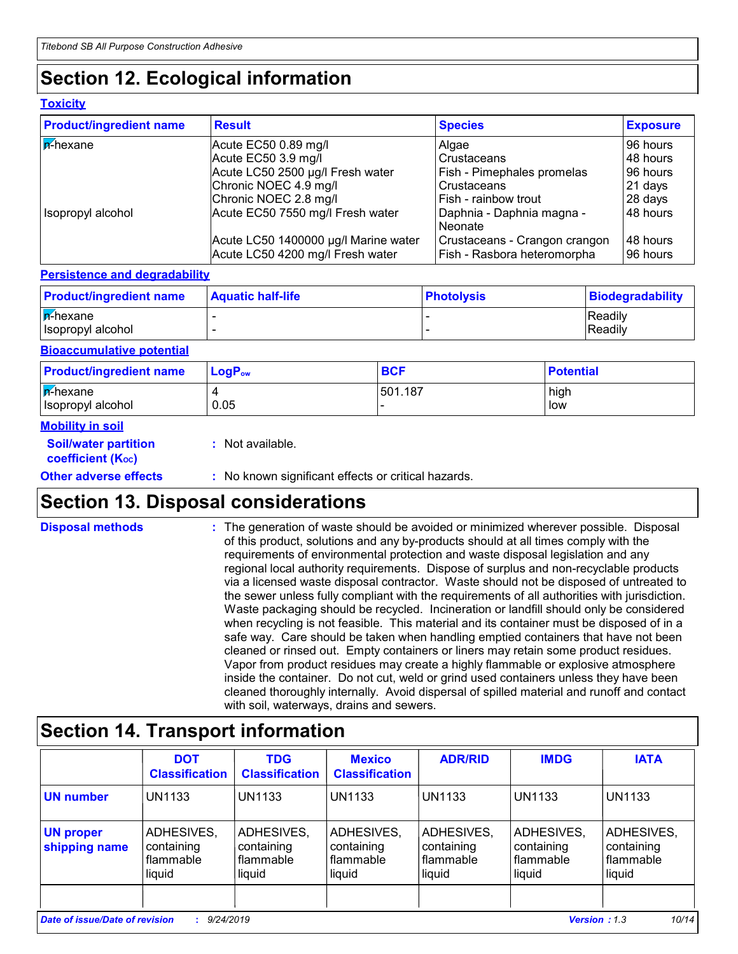## **Section 12. Ecological information**

#### **Toxicity**

| <b>Product/ingredient name</b> | <b>Result</b>                                                            | <b>Species</b>                                               | <b>Exposure</b>      |
|--------------------------------|--------------------------------------------------------------------------|--------------------------------------------------------------|----------------------|
| $\sqrt{\mathsf{p}^2}$ hexane   | Acute EC50 0.89 mg/l                                                     | Algae                                                        | l 96 hours           |
|                                | Acute EC50 3.9 mg/l                                                      | Crustaceans                                                  | 48 hours             |
|                                | Acute LC50 2500 µg/l Fresh water                                         | Fish - Pimephales promelas                                   | 96 hours             |
|                                | Chronic NOEC 4.9 mg/l                                                    | Crustaceans                                                  | 21 days              |
|                                | Chronic NOEC 2.8 mg/l                                                    | Fish - rainbow trout                                         | 28 days              |
| Isopropyl alcohol              | Acute EC50 7550 mg/l Fresh water                                         | Daphnia - Daphnia magna -<br>Neonate                         | 48 hours             |
|                                | Acute LC50 1400000 µg/l Marine water<br>Acute LC50 4200 mg/l Fresh water | Crustaceans - Crangon crangon<br>Fish - Rasbora heteromorpha | 48 hours<br>96 hours |

#### **Persistence and degradability**

| <b>Product/ingredient name</b> | <b>Aquatic half-life</b> | <b>Photolysis</b> | Biodegradability |
|--------------------------------|--------------------------|-------------------|------------------|
| $n$ -hexane                    |                          |                   | Readily          |
| Isopropyl alcohol              |                          |                   | Readily          |

#### **Bioaccumulative potential**

| <b>Product/ingredient name</b>          | LogP <sub>ow</sub> | <b>BCF</b> | <b>Potential</b> |
|-----------------------------------------|--------------------|------------|------------------|
| $ \vec{r}$ -hexane<br>Isopropyl alcohol | 0.05               | 501.187    | high<br>low      |

#### **Mobility in soil**

| <b>Soil/water partition</b><br>coefficient (K <sub>oc</sub> ) | : Not available.                                    |
|---------------------------------------------------------------|-----------------------------------------------------|
| <b>Other adverse effects</b>                                  | : No known significant effects or critical hazards. |
|                                                               |                                                     |

## **Section 13. Disposal considerations**

The generation of waste should be avoided or minimized wherever possible. Disposal of this product, solutions and any by-products should at all times comply with the requirements of environmental protection and waste disposal legislation and any regional local authority requirements. Dispose of surplus and non-recyclable products via a licensed waste disposal contractor. Waste should not be disposed of untreated to the sewer unless fully compliant with the requirements of all authorities with jurisdiction. Waste packaging should be recycled. Incineration or landfill should only be considered when recycling is not feasible. This material and its container must be disposed of in a safe way. Care should be taken when handling emptied containers that have not been cleaned or rinsed out. Empty containers or liners may retain some product residues. Vapor from product residues may create a highly flammable or explosive atmosphere inside the container. Do not cut, weld or grind used containers unless they have been cleaned thoroughly internally. Avoid dispersal of spilled material and runoff and contact with soil, waterways, drains and sewers. **Disposal methods :**

## **Section 14. Transport information**

|                                   | <b>DOT</b><br><b>Classification</b>             | <b>TDG</b><br><b>Classification</b>             | <b>Mexico</b><br><b>Classification</b>            | <b>ADR/RID</b>                                  | <b>IMDG</b>                                            | <b>IATA</b>                                     |
|-----------------------------------|-------------------------------------------------|-------------------------------------------------|---------------------------------------------------|-------------------------------------------------|--------------------------------------------------------|-------------------------------------------------|
| <b>UN number</b>                  | <b>UN1133</b>                                   | <b>UN1133</b>                                   | <b>UN1133</b>                                     | UN1133                                          | UN1133                                                 | <b>UN1133</b>                                   |
| <b>UN proper</b><br>shipping name | ADHESIVES,<br>containing<br>flammable<br>liquid | ADHESIVES,<br>containing<br>flammable<br>liquid | ADHESIVES,<br>containing<br>  flammable<br>liquid | ADHESIVES,<br>containing<br>flammable<br>liquid | ADHESIVES,<br>containing<br><b>flammable</b><br>liquid | ADHESIVES,<br>containing<br>flammable<br>liquid |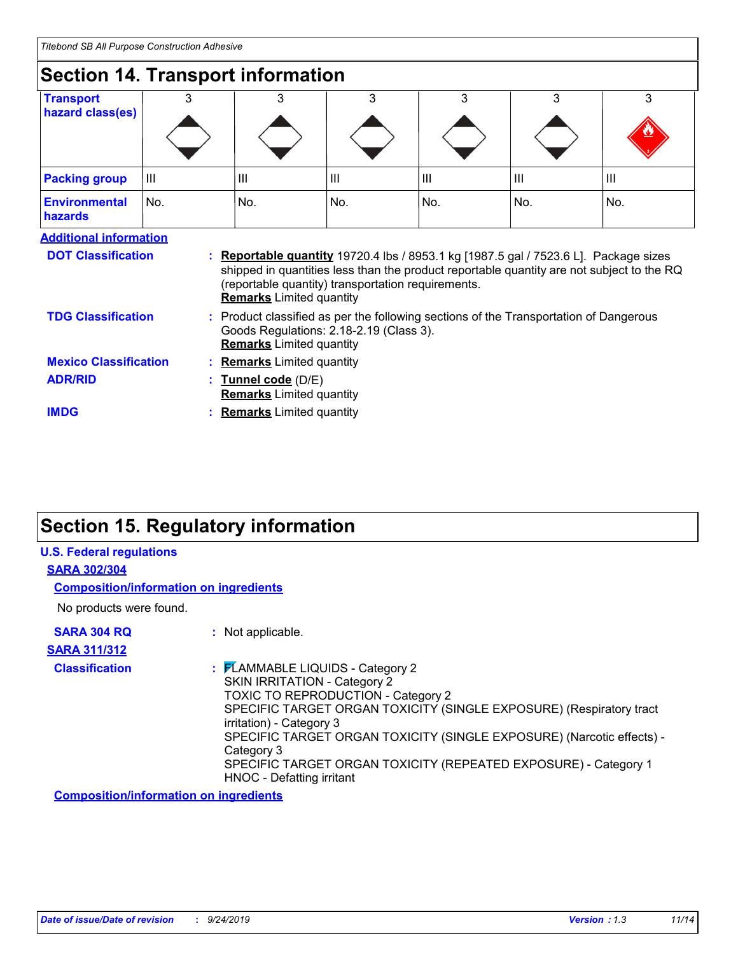| <b>Section 14. Transport information</b> |     |                   |                                                                                                                                                                     |                |     |                                                                                                                                                                                   |
|------------------------------------------|-----|-------------------|---------------------------------------------------------------------------------------------------------------------------------------------------------------------|----------------|-----|-----------------------------------------------------------------------------------------------------------------------------------------------------------------------------------|
| <b>Transport</b><br>hazard class(es)     |     |                   | 3                                                                                                                                                                   | 3              | 3   | 3                                                                                                                                                                                 |
| <b>Packing group</b>                     | ШI  | III               | III                                                                                                                                                                 | $\mathbf{III}$ | III | $\mathbf{III}$                                                                                                                                                                    |
| <b>Environmental</b><br>hazards          | No. | No.               | No.                                                                                                                                                                 | No.            | No. | No.                                                                                                                                                                               |
| <b>Additional information</b>            |     |                   |                                                                                                                                                                     |                |     |                                                                                                                                                                                   |
| <b>DOT Classification</b>                |     |                   | (reportable quantity) transportation requirements.<br><b>Remarks</b> Limited quantity                                                                               |                |     | : Reportable quantity 19720.4 lbs / 8953.1 kg [1987.5 gal / 7523.6 L]. Package sizes<br>shipped in quantities less than the product reportable quantity are not subject to the RQ |
| <b>TDG Classification</b>                |     |                   | : Product classified as per the following sections of the Transportation of Dangerous<br>Goods Regulations: 2.18-2.19 (Class 3).<br><b>Remarks</b> Limited quantity |                |     |                                                                                                                                                                                   |
| <b>Mexico Classification</b>             |     |                   | : Remarks Limited quantity                                                                                                                                          |                |     |                                                                                                                                                                                   |
| <b>ADR/RID</b>                           |     | Tunnel code (D/E) | <b>Remarks</b> Limited quantity                                                                                                                                     |                |     |                                                                                                                                                                                   |
| <b>IMDG</b>                              |     |                   | <b>Remarks</b> Limited quantity                                                                                                                                     |                |     |                                                                                                                                                                                   |

## **Section 15. Regulatory information**

| <b>Composition/information on ingredients</b>                                                                                                                                                                                                                                                                                                                                                           |
|---------------------------------------------------------------------------------------------------------------------------------------------------------------------------------------------------------------------------------------------------------------------------------------------------------------------------------------------------------------------------------------------------------|
|                                                                                                                                                                                                                                                                                                                                                                                                         |
| : Not applicable.                                                                                                                                                                                                                                                                                                                                                                                       |
|                                                                                                                                                                                                                                                                                                                                                                                                         |
| : FLAMMABLE LIQUIDS - Category 2<br><b>SKIN IRRITATION - Category 2</b><br>TOXIC TO REPRODUCTION - Category 2<br>SPECIFIC TARGET ORGAN TOXICITY (SINGLE EXPOSURE) (Respiratory tract<br>irritation) - Category 3<br>SPECIFIC TARGET ORGAN TOXICITY (SINGLE EXPOSURE) (Narcotic effects) -<br>Category 3<br>SPECIFIC TARGET ORGAN TOXICITY (REPEATED EXPOSURE) - Category 1<br>HNOC - Defatting irritant |
|                                                                                                                                                                                                                                                                                                                                                                                                         |

**Composition/information on ingredients**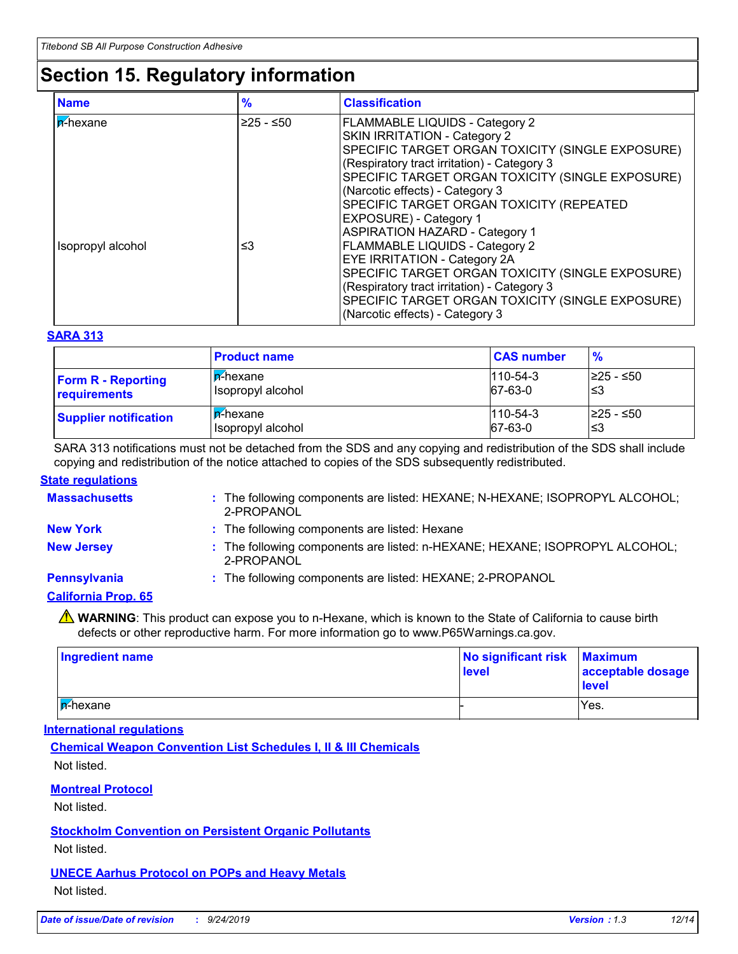## **Section 15. Regulatory information**

| <b>Name</b>       | $\frac{9}{6}$ | <b>Classification</b>                                                                                                                                                                                                                                                                                                                                                                         |
|-------------------|---------------|-----------------------------------------------------------------------------------------------------------------------------------------------------------------------------------------------------------------------------------------------------------------------------------------------------------------------------------------------------------------------------------------------|
| ln-⁄hexane        | 225 - ≤50∣    | <b>FLAMMABLE LIQUIDS - Category 2</b><br><b>SKIN IRRITATION - Category 2</b><br>SPECIFIC TARGET ORGAN TOXICITY (SINGLE EXPOSURE)<br>(Respiratory tract irritation) - Category 3<br>SPECIFIC TARGET ORGAN TOXICITY (SINGLE EXPOSURE)<br>(Narcotic effects) - Category 3<br>SPECIFIC TARGET ORGAN TOXICITY (REPEATED<br><b>EXPOSURE</b> ) - Category 1<br><b>ASPIRATION HAZARD - Category 1</b> |
| Isopropyl alcohol | ≤3            | <b>FLAMMABLE LIQUIDS - Category 2</b><br><b>EYE IRRITATION - Category 2A</b><br>SPECIFIC TARGET ORGAN TOXICITY (SINGLE EXPOSURE)<br>(Respiratory tract irritation) - Category 3<br>SPECIFIC TARGET ORGAN TOXICITY (SINGLE EXPOSURE)<br>(Narcotic effects) - Category 3                                                                                                                        |

#### **SARA 313**

|                              | <b>Product name</b>      | <b>CAS number</b> | $\frac{9}{6}$ |
|------------------------------|--------------------------|-------------------|---------------|
| <b>Form R - Reporting</b>    | ∣ <mark>n</mark> -hexane | $1110 - 54 - 3$   | l≥25 - ≤50    |
| requirements                 | Isopropyl alcohol        | 67-63-0           | '≤3           |
| <b>Supplier notification</b> | ∣ <mark>n</mark> -hexane | $1110 - 54 - 3$   | l≥25 - ≤50    |
|                              | Isopropyl alcohol        | $67-63-0$         | ′≤3           |

SARA 313 notifications must not be detached from the SDS and any copying and redistribution of the SDS shall include copying and redistribution of the notice attached to copies of the SDS subsequently redistributed.

#### **State regulations**

| <b>Massachusetts</b>       | : The following components are listed: HEXANE; N-HEXANE; ISOPROPYL ALCOHOL;<br>2-PROPANOL |
|----------------------------|-------------------------------------------------------------------------------------------|
| <b>New York</b>            | : The following components are listed: Hexane                                             |
| <b>New Jersey</b>          | : The following components are listed: n-HEXANE; HEXANE; ISOPROPYL ALCOHOL;<br>2-PROPANOL |
| <b>Pennsylvania</b>        | : The following components are listed: HEXANE; 2-PROPANOL                                 |
| <b>California Prop. 65</b> |                                                                                           |
|                            |                                                                                           |

**A** WARNING: This product can expose you to n-Hexane, which is known to the State of California to cause birth defects or other reproductive harm. For more information go to www.P65Warnings.ca.gov.

| <b>Ingredient name</b>    | No significant risk Maximum<br>level | acceptable dosage<br>level |
|---------------------------|--------------------------------------|----------------------------|
| l <mark>n</mark> ∕-hexane |                                      | Yes.                       |

#### **International regulations**

**Chemical Weapon Convention List Schedules I, II & III Chemicals** Not listed.

#### **Montreal Protocol**

Not listed.

#### **Stockholm Convention on Persistent Organic Pollutants**

Not listed.

### **UNECE Aarhus Protocol on POPs and Heavy Metals**

Not listed.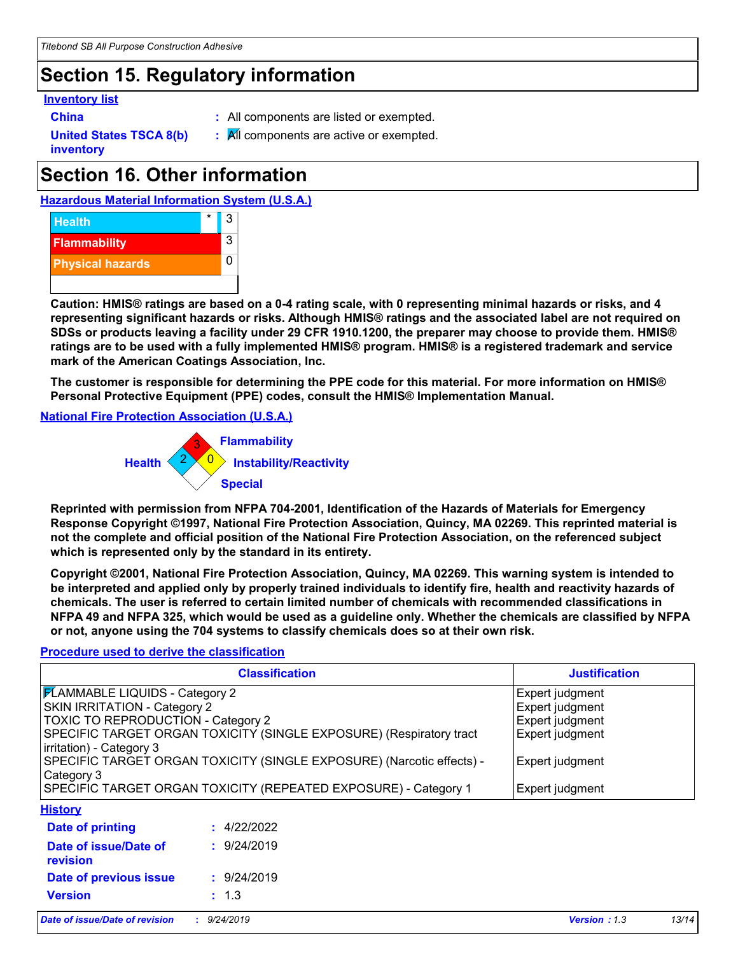## **Section 15. Regulatory information**

#### **Inventory list**

- 
- **China :** All components are listed or exempted.
- **United States TSCA 8(b) inventory**
- **:** All components are active or exempted.

## **Section 16. Other information**

**Hazardous Material Information System (U.S.A.)**



**Caution: HMIS® ratings are based on a 0-4 rating scale, with 0 representing minimal hazards or risks, and 4 representing significant hazards or risks. Although HMIS® ratings and the associated label are not required on SDSs or products leaving a facility under 29 CFR 1910.1200, the preparer may choose to provide them. HMIS® ratings are to be used with a fully implemented HMIS® program. HMIS® is a registered trademark and service mark of the American Coatings Association, Inc.**

**The customer is responsible for determining the PPE code for this material. For more information on HMIS® Personal Protective Equipment (PPE) codes, consult the HMIS® Implementation Manual.**

**National Fire Protection Association (U.S.A.)**



**Reprinted with permission from NFPA 704-2001, Identification of the Hazards of Materials for Emergency Response Copyright ©1997, National Fire Protection Association, Quincy, MA 02269. This reprinted material is not the complete and official position of the National Fire Protection Association, on the referenced subject which is represented only by the standard in its entirety.**

**Copyright ©2001, National Fire Protection Association, Quincy, MA 02269. This warning system is intended to be interpreted and applied only by properly trained individuals to identify fire, health and reactivity hazards of chemicals. The user is referred to certain limited number of chemicals with recommended classifications in NFPA 49 and NFPA 325, which would be used as a guideline only. Whether the chemicals are classified by NFPA or not, anyone using the 704 systems to classify chemicals does so at their own risk.**

#### **Procedure used to derive the classification**

|                                        | <b>Justification</b>                                                  |                     |       |
|----------------------------------------|-----------------------------------------------------------------------|---------------------|-------|
| <b>FLAMMABLE LIQUIDS - Category 2</b>  |                                                                       | Expert judgment     |       |
| <b>SKIN IRRITATION - Category 2</b>    |                                                                       | Expert judgment     |       |
| TOXIC TO REPRODUCTION - Category 2     |                                                                       | Expert judgment     |       |
|                                        | SPECIFIC TARGET ORGAN TOXICITY (SINGLE EXPOSURE) (Respiratory tract   | Expert judgment     |       |
| irritation) - Category 3<br>Category 3 | SPECIFIC TARGET ORGAN TOXICITY (SINGLE EXPOSURE) (Narcotic effects) - |                     |       |
|                                        | SPECIFIC TARGET ORGAN TOXICITY (REPEATED EXPOSURE) - Category 1       | Expert judgment     |       |
| <b>History</b>                         |                                                                       |                     |       |
| Date of printing                       | : 4/22/2022                                                           |                     |       |
| Date of issue/Date of<br>revision      | : 9/24/2019                                                           |                     |       |
| Date of previous issue                 | : 9/24/2019                                                           |                     |       |
| <b>Version</b>                         | : 1.3                                                                 |                     |       |
| Date of issue/Date of revision         | : 9/24/2019                                                           | <b>Version: 1.3</b> | 13/14 |